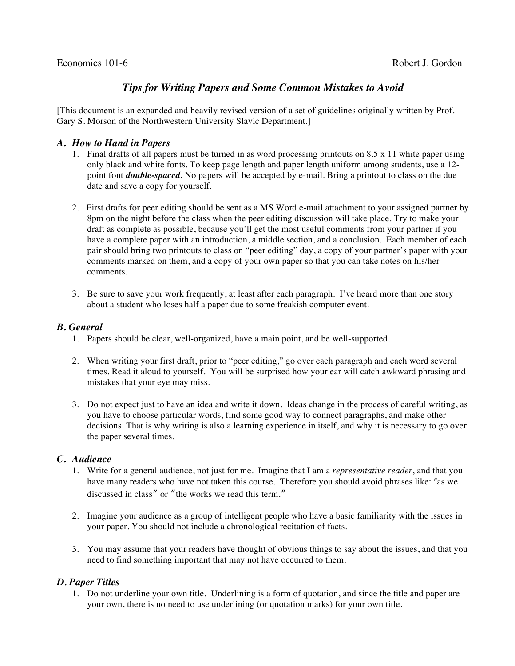#### Economics 101-6 Robert J. Gordon

# *Tips for Writing Papers and Some Common Mistakes to Avoid*

[This document is an expanded and heavily revised version of a set of guidelines originally written by Prof. Gary S. Morson of the Northwestern University Slavic Department.]

#### *A. How to Hand in Papers*

- 1. Final drafts of all papers must be turned in as word processing printouts on 8.5 x 11 white paper using only black and white fonts. To keep page length and paper length uniform among students, use a 12 point font *double-spaced.* No papers will be accepted by e-mail. Bring a printout to class on the due date and save a copy for yourself.
- 2. First drafts for peer editing should be sent as a MS Word e-mail attachment to your assigned partner by 8pm on the night before the class when the peer editing discussion will take place. Try to make your draft as complete as possible, because you'll get the most useful comments from your partner if you have a complete paper with an introduction, a middle section, and a conclusion. Each member of each pair should bring two printouts to class on "peer editing" day, a copy of your partner's paper with your comments marked on them, and a copy of your own paper so that you can take notes on his/her comments.
- 3. Be sure to save your work frequently, at least after each paragraph. I've heard more than one story about a student who loses half a paper due to some freakish computer event.

### *B. General*

- 1. Papers should be clear, well-organized, have a main point, and be well-supported.
- 2. When writing your first draft, prior to "peer editing," go over each paragraph and each word several times. Read it aloud to yourself. You will be surprised how your ear will catch awkward phrasing and mistakes that your eye may miss.
- 3. Do not expect just to have an idea and write it down. Ideas change in the process of careful writing, as you have to choose particular words, find some good way to connect paragraphs, and make other decisions. That is why writing is also a learning experience in itself, and why it is necessary to go over the paper several times.

#### *C. Audience*

- 1. Write for a general audience, not just for me. Imagine that I am a *representative reader*, and that you have many readers who have not taken this course. Therefore you should avoid phrases like: "as we discussed in class" or "the works we read this term."
- 2. Imagine your audience as a group of intelligent people who have a basic familiarity with the issues in your paper. You should not include a chronological recitation of facts.
- 3. You may assume that your readers have thought of obvious things to say about the issues, and that you need to find something important that may not have occurred to them.

## *D. Paper Titles*

1. Do not underline your own title. Underlining is a form of quotation, and since the title and paper are your own, there is no need to use underlining (or quotation marks) for your own title.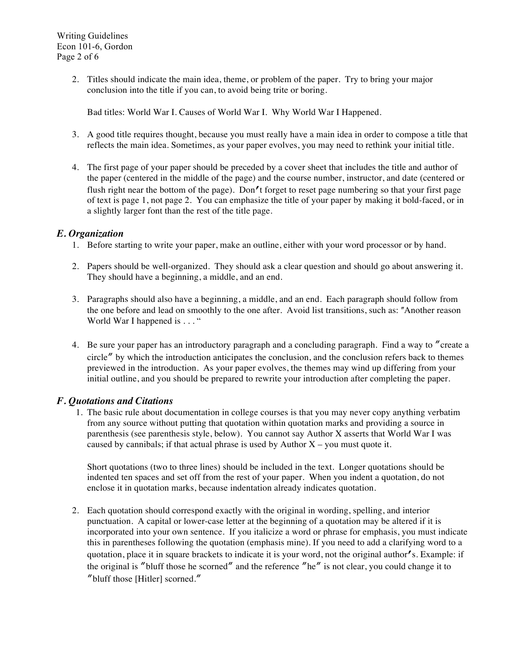2. Titles should indicate the main idea, theme, or problem of the paper. Try to bring your major conclusion into the title if you can, to avoid being trite or boring.

Bad titles: World War I. Causes of World War I. Why World War I Happened.

- 3. A good title requires thought, because you must really have a main idea in order to compose a title that reflects the main idea. Sometimes, as your paper evolves, you may need to rethink your initial title.
- 4. The first page of your paper should be preceded by a cover sheet that includes the title and author of the paper (centered in the middle of the page) and the course number, instructor, and date (centered or flush right near the bottom of the page). Don't forget to reset page numbering so that your first page of text is page 1, not page 2. You can emphasize the title of your paper by making it bold-faced, or in a slightly larger font than the rest of the title page.

## *E. Organization*

- 1. Before starting to write your paper, make an outline, either with your word processor or by hand.
- 2. Papers should be well-organized. They should ask a clear question and should go about answering it. They should have a beginning, a middle, and an end.
- 3. Paragraphs should also have a beginning, a middle, and an end. Each paragraph should follow from the one before and lead on smoothly to the one after. Avoid list transitions, such as: "Another reason World War I happened is . . . "
- 4. Be sure your paper has an introductory paragraph and a concluding paragraph. Find a way to "create a circle" by which the introduction anticipates the conclusion, and the conclusion refers back to themes previewed in the introduction. As your paper evolves, the themes may wind up differing from your initial outline, and you should be prepared to rewrite your introduction after completing the paper.

## *F. Quotations and Citations*

1. The basic rule about documentation in college courses is that you may never copy anything verbatim from any source without putting that quotation within quotation marks and providing a source in parenthesis (see parenthesis style, below). You cannot say Author X asserts that World War I was caused by cannibals; if that actual phrase is used by Author  $X - y$  ou must quote it.

Short quotations (two to three lines) should be included in the text. Longer quotations should be indented ten spaces and set off from the rest of your paper. When you indent a quotation, do not enclose it in quotation marks, because indentation already indicates quotation.

2. Each quotation should correspond exactly with the original in wording, spelling, and interior punctuation. A capital or lower-case letter at the beginning of a quotation may be altered if it is incorporated into your own sentence. If you italicize a word or phrase for emphasis, you must indicate this in parentheses following the quotation (emphasis mine). If you need to add a clarifying word to a quotation, place it in square brackets to indicate it is your word, not the original author's. Example: if the original is "bluff those he scorned" and the reference "he" is not clear, you could change it to "bluff those [Hitler] scorned."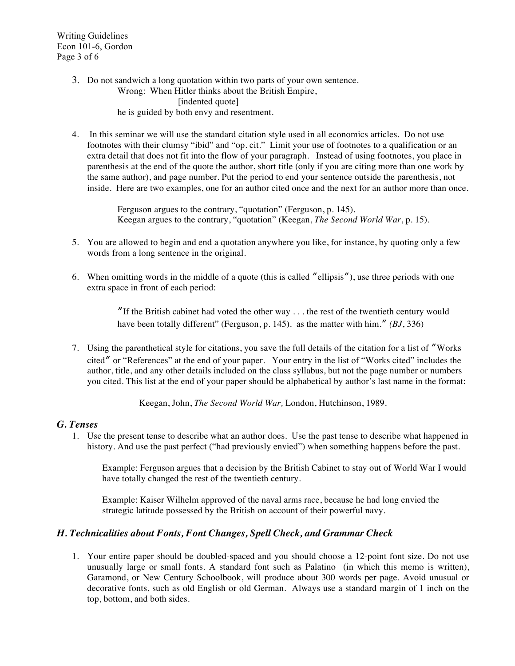Writing Guidelines Econ 101-6, Gordon Page 3 of 6

- 3. Do not sandwich a long quotation within two parts of your own sentence. Wrong: When Hitler thinks about the British Empire, [indented quote] he is guided by both envy and resentment.
- 4. In this seminar we will use the standard citation style used in all economics articles. Do not use footnotes with their clumsy "ibid" and "op. cit." Limit your use of footnotes to a qualification or an extra detail that does not fit into the flow of your paragraph. Instead of using footnotes, you place in parenthesis at the end of the quote the author, short title (only if you are citing more than one work by the same author), and page number. Put the period to end your sentence outside the parenthesis, not inside. Here are two examples, one for an author cited once and the next for an author more than once.

Ferguson argues to the contrary, "quotation" (Ferguson, p. 145). Keegan argues to the contrary, "quotation" (Keegan, *The Second World War*, p. 15).

- 5. You are allowed to begin and end a quotation anywhere you like, for instance, by quoting only a few words from a long sentence in the original.
- 6. When omitting words in the middle of a quote (this is called "ellipsis"), use three periods with one extra space in front of each period:

"If the British cabinet had voted the other way  $\dots$  the rest of the twentieth century would have been totally different" (Ferguson, p. 145). as the matter with him.<sup>"</sup> (BJ, 336)

7. Using the parenthetical style for citations, you save the full details of the citation for a list of "Works" cited" or "References" at the end of your paper. Your entry in the list of "Works cited" includes the author, title, and any other details included on the class syllabus, but not the page number or numbers you cited. This list at the end of your paper should be alphabetical by author's last name in the format:

Keegan, John, *The Second World War,* London, Hutchinson, 1989.

#### *G. Tenses*

1. Use the present tense to describe what an author does. Use the past tense to describe what happened in history. And use the past perfect ("had previously envied") when something happens before the past.

Example: Ferguson argues that a decision by the British Cabinet to stay out of World War I would have totally changed the rest of the twentieth century.

Example: Kaiser Wilhelm approved of the naval arms race, because he had long envied the strategic latitude possessed by the British on account of their powerful navy.

#### *H. Technicalities about Fonts, Font Changes, Spell Check, and Grammar Check*

1. Your entire paper should be doubled-spaced and you should choose a 12-point font size. Do not use unusually large or small fonts. A standard font such as Palatino (in which this memo is written), Garamond, or New Century Schoolbook, will produce about 300 words per page. Avoid unusual or decorative fonts, such as old English or old German. Always use a standard margin of 1 inch on the top, bottom, and both sides.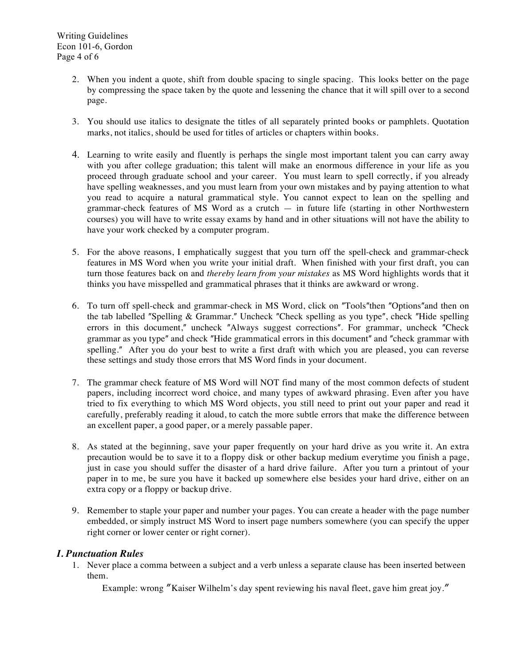- 2. When you indent a quote, shift from double spacing to single spacing. This looks better on the page by compressing the space taken by the quote and lessening the chance that it will spill over to a second page.
- 3. You should use italics to designate the titles of all separately printed books or pamphlets. Quotation marks, not italics, should be used for titles of articles or chapters within books.
- 4. Learning to write easily and fluently is perhaps the single most important talent you can carry away with you after college graduation; this talent will make an enormous difference in your life as you proceed through graduate school and your career. You must learn to spell correctly, if you already have spelling weaknesses, and you must learn from your own mistakes and by paying attention to what you read to acquire a natural grammatical style. You cannot expect to lean on the spelling and grammar-check features of MS Word as a crutch — in future life (starting in other Northwestern courses) you will have to write essay exams by hand and in other situations will not have the ability to have your work checked by a computer program.
- 5. For the above reasons, I emphatically suggest that you turn off the spell-check and grammar-check features in MS Word when you write your initial draft. When finished with your first draft, you can turn those features back on and *thereby learn from your mistakes* as MS Word highlights words that it thinks you have misspelled and grammatical phrases that it thinks are awkward or wrong.
- 6. To turn off spell-check and grammar-check in MS Word, click on "Tools" then "Options" and then on the tab labelled "Spelling & Grammar." Uncheck "Check spelling as you type", check "Hide spelling errors in this document," uncheck "Always suggest corrections". For grammar, uncheck "Check grammar as you type" and check "Hide grammatical errors in this document" and "check grammar with spelling." After you do your best to write a first draft with which you are pleased, you can reverse these settings and study those errors that MS Word finds in your document.
- 7. The grammar check feature of MS Word will NOT find many of the most common defects of student papers, including incorrect word choice, and many types of awkward phrasing. Even after you have tried to fix everything to which MS Word objects, you still need to print out your paper and read it carefully, preferably reading it aloud, to catch the more subtle errors that make the difference between an excellent paper, a good paper, or a merely passable paper.
- 8. As stated at the beginning, save your paper frequently on your hard drive as you write it. An extra precaution would be to save it to a floppy disk or other backup medium everytime you finish a page, just in case you should suffer the disaster of a hard drive failure. After you turn a printout of your paper in to me, be sure you have it backed up somewhere else besides your hard drive, either on an extra copy or a floppy or backup drive.
- 9. Remember to staple your paper and number your pages. You can create a header with the page number embedded, or simply instruct MS Word to insert page numbers somewhere (you can specify the upper right corner or lower center or right corner).

## *I. Punctuation Rules*

1. Never place a comma between a subject and a verb unless a separate clause has been inserted between them.

Example: wrong "Kaiser Wilhelm's day spent reviewing his naval fleet, gave him great joy."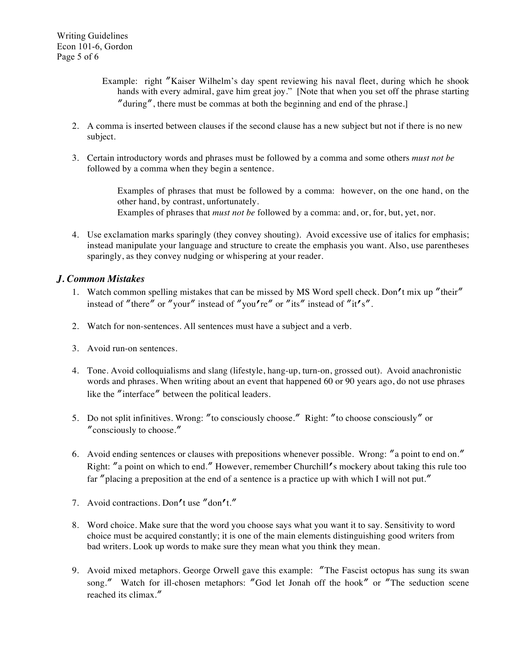- Example: right "Kaiser Wilhelm's day spent reviewing his naval fleet, during which he shook hands with every admiral, gave him great joy." [Note that when you set off the phrase starting " $\alpha$ during", there must be commas at both the beginning and end of the phrase.]
- 2. A comma is inserted between clauses if the second clause has a new subject but not if there is no new subject.
- 3. Certain introductory words and phrases must be followed by a comma and some others *must not be*  followed by a comma when they begin a sentence.

Examples of phrases that must be followed by a comma: however, on the one hand, on the other hand, by contrast, unfortunately. Examples of phrases that *must not be* followed by a comma: and, or, for, but, yet, nor.

4. Use exclamation marks sparingly (they convey shouting). Avoid excessive use of italics for emphasis; instead manipulate your language and structure to create the emphasis you want. Also, use parentheses sparingly, as they convey nudging or whispering at your reader.

## *J. Common Mistakes*

- 1. Watch common spelling mistakes that can be missed by MS Word spell check. Don't mix up "their" instead of "there" or "your" instead of "you're" or "its" instead of "it's".
- 2. Watch for non-sentences. All sentences must have a subject and a verb.
- 3. Avoid run-on sentences.
- 4. Tone. Avoid colloquialisms and slang (lifestyle, hang-up, turn-on, grossed out). Avoid anachronistic words and phrases. When writing about an event that happened 60 or 90 years ago, do not use phrases like the "interface" between the political leaders.
- 5. Do not split infinitives. Wrong: "to consciously choose." Right: "to choose consciously" or "consciously to choose."
- 6. Avoid ending sentences or clauses with prepositions whenever possible. Wrong: "a point to end on." Right: "a point on which to end." However, remember Churchill's mockery about taking this rule too far "placing a preposition at the end of a sentence is a practice up with which I will not put."
- 7. Avoid contractions. Don't use "don't."
- 8. Word choice. Make sure that the word you choose says what you want it to say. Sensitivity to word choice must be acquired constantly; it is one of the main elements distinguishing good writers from bad writers. Look up words to make sure they mean what you think they mean.
- 9. Avoid mixed metaphors. George Orwell gave this example: "The Fascist octopus has sung its swan song." Watch for ill-chosen metaphors: "God let Jonah off the hook" or "The seduction scene reached its climax."